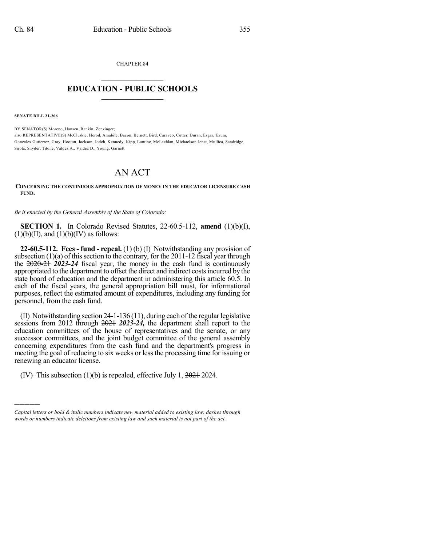CHAPTER 84  $\mathcal{L}_\text{max}$  . The set of the set of the set of the set of the set of the set of the set of the set of the set of the set of the set of the set of the set of the set of the set of the set of the set of the set of the set

## **EDUCATION - PUBLIC SCHOOLS**  $\_$   $\_$   $\_$   $\_$   $\_$   $\_$   $\_$   $\_$   $\_$

**SENATE BILL 21-206**

)))))

BY SENATOR(S) Moreno, Hansen, Rankin, Zenzinger; also REPRESENTATIVE(S) McCluskie, Herod, Amabile, Bacon, Bernett, Bird, Caraveo, Cutter, Duran, Esgar, Exum, Gonzales-Gutierrez, Gray, Hooton, Jackson, Jodeh, Kennedy, Kipp, Lontine, McLachlan, Michaelson Jenet, Mullica, Sandridge, Sirota, Snyder, Titone, Valdez A., Valdez D., Young, Garnett.

## AN ACT

## **CONCERNING THE CONTINUOUS APPROPRIATION OF MONEY IN THE EDUCATOR LICENSURE CASH FUND.**

*Be it enacted by the General Assembly of the State of Colorado:*

**SECTION 1.** In Colorado Revised Statutes, 22-60.5-112, **amend** (1)(b)(I),  $(1)(b)(II)$ , and  $(1)(b)(IV)$  as follows:

**22-60.5-112. Fees - fund - repeal.** (1) (b) (I) Notwithstanding any provision of subsection  $(1)(a)$  of this section to the contrary, for the 2011-12 fiscal year through the 2020-21 *2023-24* fiscal year, the money in the cash fund is continuously appropriated to the department to offset the direct and indirect costsincurred by the state board of education and the department in administering this article 60.5. In each of the fiscal years, the general appropriation bill must, for informational purposes, reflect the estimated amount of expenditures, including any funding for personnel, from the cash fund.

(II) Notwithstanding section 24-1-136 (11), during each of the regular legislative sessions from 2012 through 2021 *2023-24,* the department shall report to the education committees of the house of representatives and the senate, or any successor committees, and the joint budget committee of the general assembly concerning expenditures from the cash fund and the department's progress in meeting the goal of reducing to six weeks or less the processing time for issuing or renewing an educator license.

(IV) This subsection  $(1)(b)$  is repealed, effective July 1,  $2024$  2024.

*Capital letters or bold & italic numbers indicate new material added to existing law; dashes through words or numbers indicate deletions from existing law and such material is not part of the act.*